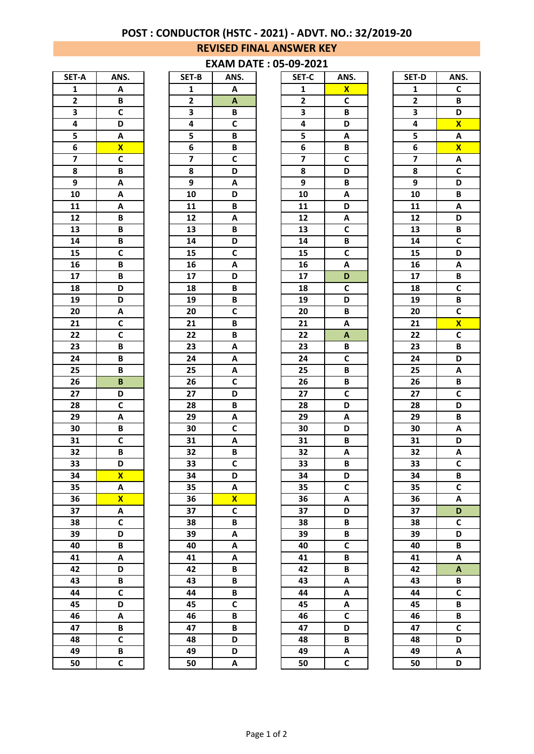# **POST : CONDUCTOR (HSTC - 2021) - ADVT. NO.: 32/2019-20**

### **REVISED FINAL ANSWER KEY**

#### **EXAM DATE : 05-09-2021**

| SET-A                   | ANS.                    |
|-------------------------|-------------------------|
| $\overline{\mathbf{1}}$ | A                       |
| $\overline{\mathbf{c}}$ | B                       |
| 3                       | C                       |
| 4                       | D                       |
| 5                       | Ā                       |
| 6                       | $\overline{\mathsf{x}}$ |
| 7                       | $\overline{c}$          |
| 8                       | B                       |
| 9                       | A                       |
| 10                      | Ā                       |
| $\overline{11}$         | Ā                       |
| $\overline{12}$         | $\overline{\mathsf{B}}$ |
| 13                      | B                       |
| $\overline{14}$         | $\overline{\mathbf{B}}$ |
| 15                      | C                       |
| 16                      | B                       |
| $\overline{17}$         | B                       |
| 18                      | $\overline{\mathsf{D}}$ |
| 19                      | $\overline{\mathsf{D}}$ |
|                         |                         |
| 20                      | A                       |
| 21                      | C                       |
| 22                      | $\overline{\mathbf{c}}$ |
| 23                      | $\overline{B}$          |
| $2\overline{4}$         | B                       |
| $\overline{25}$         | B                       |
| 26                      | B                       |
| 27                      | D                       |
| 28                      | $\overline{\mathsf{c}}$ |
| 29                      | A                       |
| 30                      | B                       |
| 31                      | C                       |
| 32                      | B                       |
| 33                      | D                       |
| 34                      | X                       |
| 35                      | Α                       |
| 36                      | X                       |
| 37                      | Α                       |
| 38                      | C                       |
| 39                      | D                       |
| 40                      | B                       |
| 41                      | A                       |
| 42                      | D                       |
| 43                      | B                       |
| 44                      | C                       |
| 45                      | D                       |
| 46                      | A                       |
| 47                      | B                       |
| 48                      | C                       |
| 49                      | B                       |
| 50                      | $\overline{c}$          |
|                         |                         |

| SET-B                   | ANS.                    |
|-------------------------|-------------------------|
| 1                       | A                       |
| $\overline{\mathbf{c}}$ | A                       |
| 3                       | B                       |
| 4                       | C                       |
| 5                       | B                       |
|                         |                         |
| 6                       | B                       |
| 7                       | $\overline{\mathbf{c}}$ |
| 8                       | D                       |
| 9                       | A                       |
| 10                      | D                       |
| $\overline{11}$         | B                       |
| $\overline{12}$         | A                       |
| 13                      | B                       |
| 14                      | D                       |
| 15                      | C                       |
| 16                      | A                       |
| 17                      | D                       |
| 18                      | B                       |
| $\overline{19}$         | $\overline{\mathbf{B}}$ |
| $\overline{20}$         | $\overline{\mathsf{c}}$ |
|                         |                         |
| $\overline{2}1$         | B                       |
| 22                      | B                       |
| 23                      | A                       |
| 24                      | A                       |
| 25                      | Α                       |
| 26                      | $\overline{c}$          |
| 27                      | D                       |
| 28                      | B                       |
| 29                      | A                       |
| 30                      | C                       |
| 31                      | A                       |
| 32                      | B                       |
| 33                      | $\overline{\mathbf{c}}$ |
| 34                      | D                       |
|                         |                         |
| 35                      | A                       |
| 36                      | X                       |
| 37                      | C                       |
| 38                      | B                       |
| 39                      | A                       |
| 40                      | A                       |
| 41                      | A                       |
| $\overline{42}$         | B                       |
| 43                      | B                       |
| 44                      | B                       |
| 45                      | C                       |
| 46                      | B                       |
| 47                      | B                       |
| 48                      | D                       |
| 49                      | D                       |
|                         |                         |
| 50                      | A                       |

| SET-A                   | ANS.                    | SET-B                   | ANS.                    | SET-C                   | ANS.         | SET-D                   | ANS.                         |
|-------------------------|-------------------------|-------------------------|-------------------------|-------------------------|--------------|-------------------------|------------------------------|
| $\mathbf{1}$            | Α                       | 1                       | Α                       | 1                       | $\mathbf{x}$ | $\mathbf{1}$            | C                            |
| $\mathbf{2}$            | B                       | $\mathbf{2}$            | A                       | $\mathbf{2}$            | $\mathsf c$  | $\overline{\mathbf{2}}$ | B                            |
| 3                       | C                       | 3                       | B                       | 3                       | B            | 3                       | D                            |
| 4                       | D                       | 4                       | C                       | 4                       | D            | 4                       | $\mathbf{x}$                 |
| 5                       | Α                       | 5                       | B                       | 5                       | A            | $\overline{\mathbf{5}}$ | A                            |
| 6                       | $\overline{\mathbf{X}}$ | 6                       | B                       | 6                       | B            | 6                       | $\overline{\mathbf{X}}$      |
| $\overline{\mathbf{z}}$ | $\mathsf{C}$            | $\overline{\mathbf{z}}$ | C                       | $\overline{\mathbf{z}}$ | $\mathsf{C}$ | $\overline{\mathbf{z}}$ | Α                            |
| 8                       | B                       | 8                       | D                       | $\overline{\mathbf{8}}$ | D            | 8                       | $\overline{\mathsf{c}}$      |
| 9                       | Α                       | 9                       | Α                       | 9                       | B            | 9                       | D                            |
| 10                      | Α                       | 10                      | D                       | 10                      | Α            | 10                      | B                            |
| 11                      | Α                       | 11                      | B                       | 11                      | D            | 11                      | A                            |
| 12                      | B                       | 12                      | Α                       | 12                      | Α            | 12                      | D                            |
| 13                      | B                       | 13                      | B                       | 13                      | $\mathsf{C}$ | 13                      | B                            |
| 14                      | B                       | 14                      | D                       | 14                      | B            | 14                      | $\mathsf c$                  |
| 15                      | $\mathsf C$             | 15                      | C                       | 15                      | $\mathsf{C}$ | 15                      | D                            |
| 16                      | B                       | 16                      | Α                       | 16                      | A            | 16                      | A                            |
| 17                      | B                       | 17                      | D                       | 17                      | D            | 17                      | B                            |
| 18                      | D                       | 18                      | B                       | 18                      | $\mathsf{C}$ | 18                      | $\mathsf{C}$                 |
| 19                      | D                       | 19                      | B                       | 19                      | D            | 19                      | B                            |
| 20                      | Α                       | 20                      | C                       | 20                      | B            | 20                      | $\mathsf c$                  |
| 21                      | C                       | 21                      | B                       | 21                      | Α            | 21                      | $\overline{\mathbf{X}}$      |
| 22                      | C                       | 22                      | B                       | 22                      | A            | 22                      | $\mathsf c$                  |
| 23                      | B                       | 23                      | Α                       | 23                      | В            | 23                      | B                            |
| 24                      | B                       | 24                      | A                       | 24                      | $\mathsf c$  | 24                      | D                            |
| 25                      | B                       | 25                      | A                       | 25                      | B            | 25                      | A                            |
| 26                      | B                       | 26                      | C                       | 26                      | B            | 26                      | В                            |
| 27                      | D                       | 27                      | D                       | 27                      | $\mathsf{C}$ | 27                      | $\mathsf c$                  |
| 28                      | C                       | 28                      | B                       | 28                      | D            | 28                      | D                            |
| 29                      | A                       | 29                      | Α                       | 29                      | A            | 29                      | B                            |
| 30                      | B                       | 30                      | C                       | 30                      | D            | 30                      | Α                            |
| 31                      | C                       | 31                      | Α                       | 31                      | B            | 31                      | D                            |
| 32                      | B                       | 32                      | B                       | 32                      | Α            | 32                      | Α                            |
| 33                      | D                       | 33                      | C                       | 33                      | B            | 33                      | $\overline{\mathsf{c}}$      |
| 34                      | $\mathbf{x}$            | 34                      | D                       | 34                      | D            | 34                      | В                            |
| 35                      | A                       | 35                      | A                       | 35                      | $\mathsf{C}$ | 35                      | $\mathsf{C}$                 |
| 36                      | $\overline{\mathbf{X}}$ | 36                      | $\overline{\mathbf{X}}$ | 36                      | A            | 36                      | A                            |
| 37                      | Α                       | 37                      | C                       | 37                      | D            | 37                      | D                            |
| 38                      | $\mathsf{C}$            | 38                      | B                       | 38                      | B            | 38                      | $\mathsf{C}$                 |
| 39                      | D                       | 39                      | A                       | 39                      | B            | 39                      | D                            |
| 40                      | B                       | 40                      | Α                       | 40                      | $\mathsf{C}$ | 40                      | B                            |
| 41                      | A                       | 41                      | A                       | 41                      | B            | 41                      | Α                            |
| 42                      | D                       | 42                      | B                       | 42                      | B            | 42                      | $\boldsymbol{\mathsf{A}}$    |
| 43                      | B                       | 43                      | B                       | 43                      | A            | 43                      | В                            |
| 44                      | $\mathsf c$             | 44                      | B                       | 44                      | A            | 44                      | $\mathsf c$                  |
| 45                      | D                       | 45                      | C                       | 45                      | Α            | 45                      | B                            |
| 46                      | A                       | 46                      | B                       | 46                      | $\mathsf{C}$ | 46                      | B<br>$\overline{\mathsf{c}}$ |
| 47                      | B<br>$\mathsf{C}$       | 47                      | B                       | 47                      | D            | 47                      |                              |
| 48                      |                         | 48                      | D                       | 48                      | B            | 48<br>49                | D                            |
| 49                      | B                       | 49                      | D                       | 49                      | Α            |                         | Α                            |
| 50                      | C                       | 50                      | A                       | 50                      | $\mathsf{C}$ | 50                      | D                            |

| SET-D                   | ANS.                    |
|-------------------------|-------------------------|
| $\mathbf{1}$            | C                       |
| 2                       | B                       |
| 3                       | D                       |
| 4                       | $\overline{\mathbf{x}}$ |
| 5                       | A                       |
| $\overline{\mathbf{6}}$ | $\overline{\mathbf{x}}$ |
| 7                       | A                       |
| 8                       | $\overline{c}$          |
| 9                       | D                       |
| 10                      | $\overline{\mathsf{B}}$ |
| $\overline{11}$         | A                       |
| $\overline{12}$         | $\overline{\mathsf{D}}$ |
| 13                      | B                       |
| 14                      | C                       |
| 15                      | D                       |
| 16                      | $\overline{A}$          |
| $\overline{17}$         |                         |
| 18                      | $rac{B}{C}$             |
| $\overline{19}$         | $\overline{B}$          |
| $\overline{20}$         | $\overline{\mathsf{c}}$ |
| $\overline{21}$         | $\overline{\mathbf{x}}$ |
| 22                      | $\overline{\mathsf{c}}$ |
| 23                      | B                       |
| 24                      | D                       |
| 25                      | A                       |
| 26                      | B                       |
| 27                      | $\overline{\mathbf{c}}$ |
| $\overline{28}$         | D                       |
| 29                      | B                       |
| 30                      | A                       |
| 31                      | $\overline{\mathsf{D}}$ |
| 32                      | A                       |
| 33                      | $\overline{\mathsf{c}}$ |
| 34                      | B                       |
| 35                      | C                       |
| 36                      | A                       |
| 37                      | D                       |
| 38                      | $\overline{c}$          |
| 39                      | D                       |
| 40                      | B                       |
| 41                      | A                       |
| $\overline{42}$         | A                       |
| 43                      | B                       |
| 44                      | C                       |
| 45                      | B                       |
| 46                      | B                       |
| 47                      | C                       |
| 48                      | D                       |
| 49                      | A                       |
| 50                      | D                       |
|                         |                         |